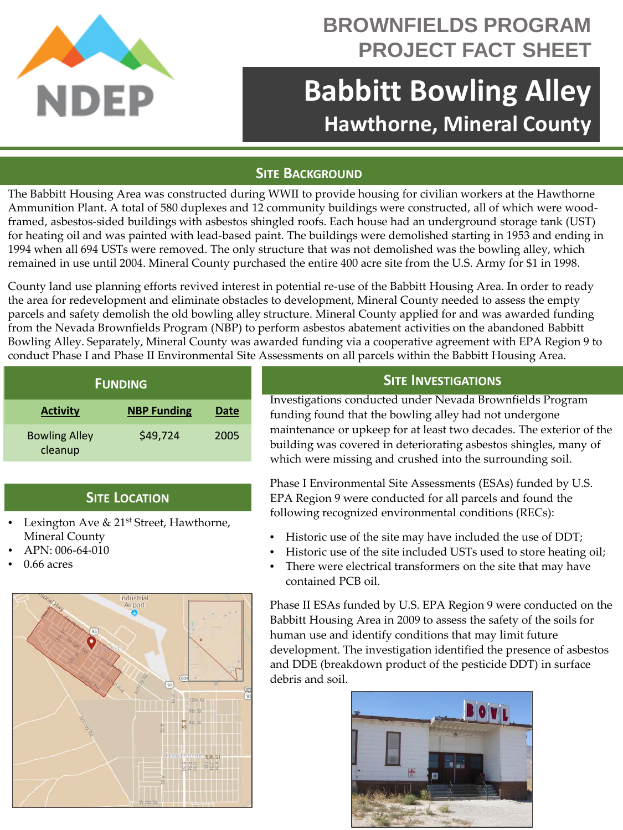

## **BROWNFIELDS PROGRAM PROJECT FACT SHEET**

# **Babbitt Bowling Alley Hawthorne, Mineral County**

#### **SITE BACKGROUND**

The Babbitt Housing Area was constructed during WWII to provide housing for civilian workers at the Hawthorne Ammunition Plant. A total of 580 duplexes and 12 community buildings were constructed, all of which were woodframed, asbestos-sided buildings with asbestos shingled roofs. Each house had an underground storage tank (UST) for heating oil and was painted with lead-based paint. The buildings were demolished starting in 1953 and ending in 1994 when all 694 USTs were removed. The only structure that was not demolished was the bowling alley, which remained in use until 2004. Mineral County purchased the entire 400 acre site from the U.S. Army for \$1 in 1998.

County land use planning efforts revived interest in potential re-use of the Babbitt Housing Area. In order to ready the area for redevelopment and eliminate obstacles to development, Mineral County needed to assess the empty parcels and safety demolish the old bowling alley structure. Mineral County applied for and was awarded funding from the Nevada Brownfields Program (NBP) to perform asbestos abatement activities on the abandoned Babbitt Bowling Alley. Separately, Mineral County was awarded funding via a cooperative agreement with EPA Region 9 to conduct Phase I and Phase II Environmental Site Assessments on all parcels within the Babbitt Housing Area.

| <b>FUNDING</b>                  |                    |      |
|---------------------------------|--------------------|------|
| <b>Activity</b>                 | <b>NBP Funding</b> | Date |
| <b>Bowling Alley</b><br>cleanup | \$49,724           | 2005 |

### **SITE LOCATION**

- Lexington Ave & 21<sup>st</sup> Street, Hawthorne, Mineral County
- APN: 006-64-010
- 0.66 acres



#### **SITE INVESTIGATIONS**

Investigations conducted under Nevada Brownfields Program funding found that the bowling alley had not undergone maintenance or upkeep for at least two decades. The exterior of the building was covered in deteriorating asbestos shingles, many of which were missing and crushed into the surrounding soil.

Phase I Environmental Site Assessments (ESAs) funded by U.S. EPA Region 9 were conducted for all parcels and found the following recognized environmental conditions (RECs):

- Historic use of the site may have included the use of DDT;
- Historic use of the site included USTs used to store heating oil;
- There were electrical transformers on the site that may have contained PCB oil.

Phase II ESAs funded by U.S. EPA Region 9 were conducted on the Babbitt Housing Area in 2009 to assess the safety of the soils for human use and identify conditions that may limit future development. The investigation identified the presence of asbestos and DDE (breakdown product of the pesticide DDT) in surface debris and soil.